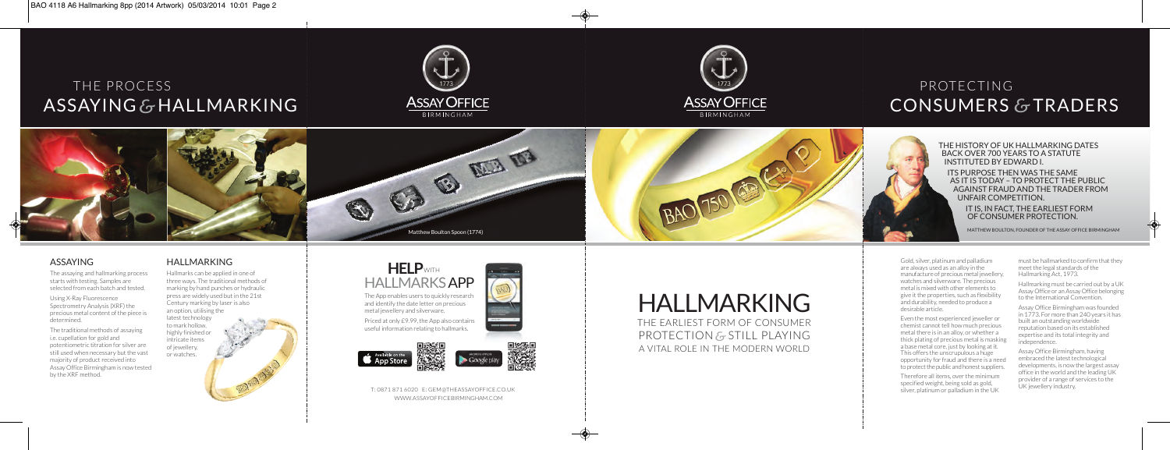

The earliesT form of consumer **PROTECTION & STILL PLAYING** a viTal role in The modern World Gold, silver, platinum and palladium are always used as an alloy in the manufacture of precious metal jewellery, watches and silverware. The precious metal is mixed with other elements to give it the properties, such as flexibility and durability, needed to produce a desirable article.

Even the most experienced jeweller or chemist cannot tell how much precious metal there is in an alloy, or whether a thick plating of precious metal is masking a base metal core, just by looking at it. This offers the unscrupulous a huge opportunity for fraud and there is a need to protect the public and honest suppliers.

Therefore all items, over the minimum specified weight, being sold as gold, silver, platinum or palladium in the UK

must be hallmarked to confirm that they meet the legal standards of the Hallmarking Act, 1973.

Hallmarking must be carried out by a UK Assay Office or an Assay Office belonging to the international convention.

Assay Office Birmingham was founded in 1773. for more than 240 years it has built an outstanding worldwide reputation based on its established expertise and its total integrity and independence.

Assay Office Birmingham, having embraced the latest technological developments, is now the largest assay office in the world and the leading UK provider of a range of services to the UK iewellery industry.

Using X-Ray Fluorescence Spectrometry Analysis (XRF) the precious metal content of the piece is determined.

The traditional methods of assaying i.e. cupellation for gold and potentiometric titration for silver are still used when necessary but the vast majority of product received into assay office birmingham is now tested by the XRF method.

# ASSAYING & HALLMARKING ASSAYOFFICE ASSAYOFFICE ASSAYOFFICE CONSUMERS & The process





## CONSUMERS & TRADERS proTecTing

The App enables users to quickly research and identify the date letter on precious metal jewellery and silverware.

Priced at only £9.99, the App also contains useful information relating to hallmarks.





tHe HIStorY oF uk HAllmArkING dAteS BAck over 700 YeArS to A StAtute INStItuted BY edwArd I. ItS PurPoSe tHeN wAS tHe SAme AS It IS todAY – to Protect tHe PuBlIc AGAINSt FrAud ANd tHe trAder From UNFAIR COMPETITION. It IS, IN FAct, tHe eArlIeSt Form oF coNSumer ProtectIoN.

MATTHEW BOULTON, FOUNDER OF THE ASSAY OFFICE BIRMINGHAM

### HAllmArkING

hallmarks can be applied in one of three ways. The traditional methods of marking by hand punches or hydraulic press are widely used but in the 21st century marking by laser is also an option, utilising the

latest technology to mark hollow, highly finished or intricate items of jewellery, or watches.

### ASSAYING

The assaying and hallmarking process starts with testing. Samples are selected from each batch and tested.





 T: 0871 871 6020 e: gem@Theassayoffice.co.uk WWW.assayofficeBIRMINGHAM.coM